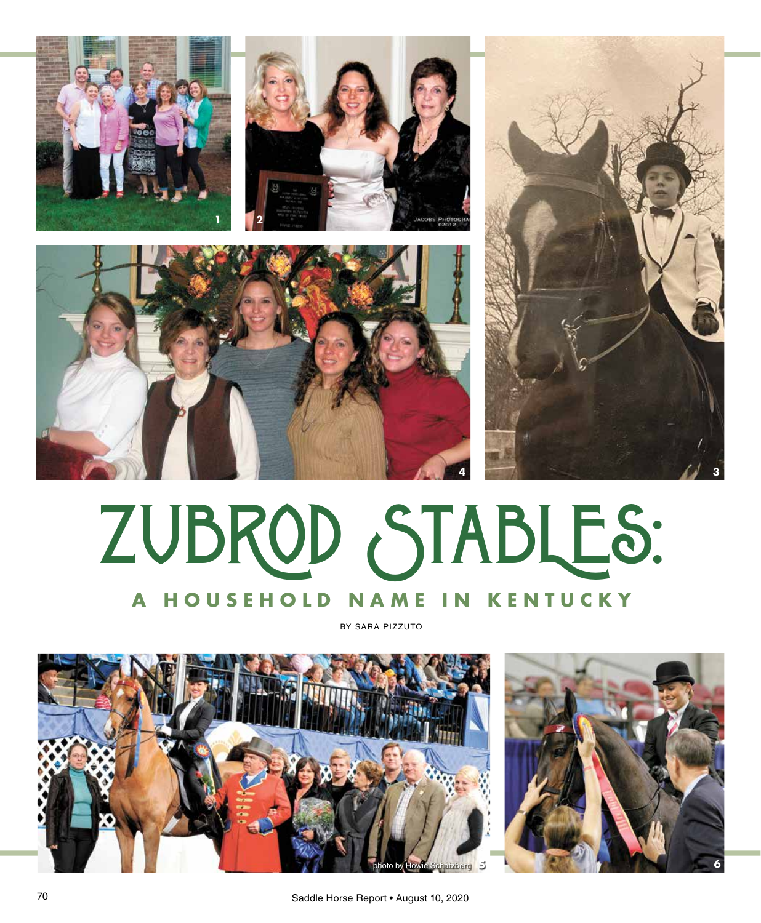







## ZUBROD STABLES: **A HOUSEHOLD NAME IN KENTUCKY**

BY SARA PIZZUTO



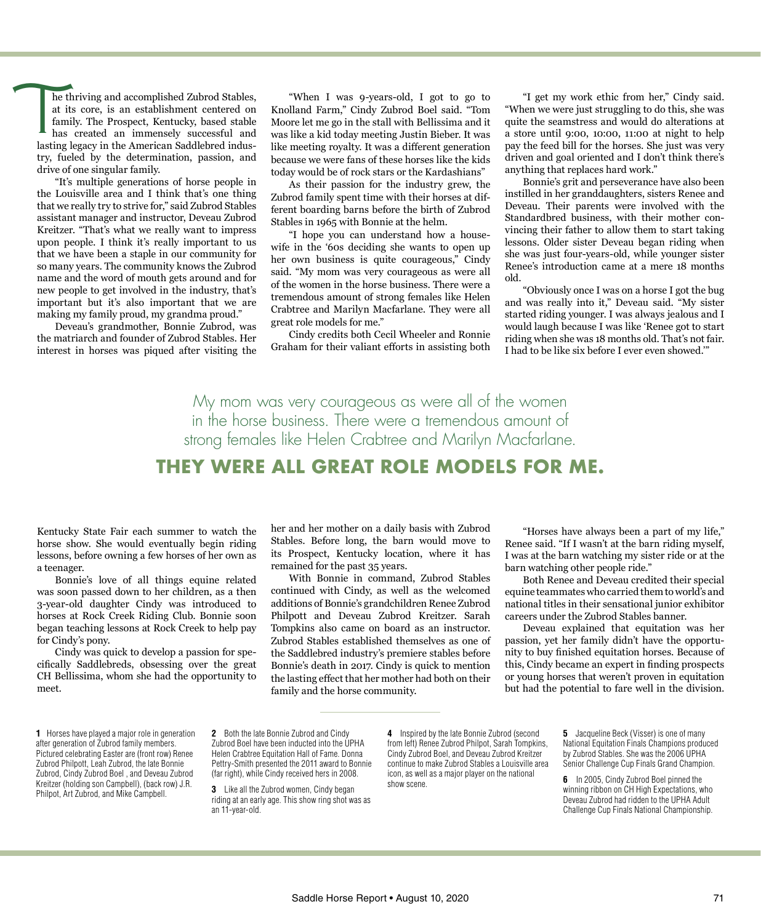$\overline{\mathbf{1}}$ he thriving and accomplished Zubrod Stables, at its core, is an establishment centered on family. The Prospect, Kentucky, based stable has created an immensely successful and lasting legacy in the American Saddlebred industry, fueled by the determination, passion, and drive of one singular family.

"It's multiple generations of horse people in the Louisville area and I think that's one thing that we really try to strive for," said Zubrod Stables assistant manager and instructor, Deveau Zubrod Kreitzer. "That's what we really want to impress upon people. I think it's really important to us that we have been a staple in our community for so many years. The community knows the Zubrod name and the word of mouth gets around and for new people to get involved in the industry, that's important but it's also important that we are making my family proud, my grandma proud."

Deveau's grandmother, Bonnie Zubrod, was the matriarch and founder of Zubrod Stables. Her interest in horses was piqued after visiting the

"When I was 9-years-old, I got to go to Knolland Farm," Cindy Zubrod Boel said. "Tom Moore let me go in the stall with Bellissima and it was like a kid today meeting Justin Bieber. It was like meeting royalty. It was a different generation because we were fans of these horses like the kids today would be of rock stars or the Kardashians"

As their passion for the industry grew, the Zubrod family spent time with their horses at different boarding barns before the birth of Zubrod Stables in 1965 with Bonnie at the helm.

"I hope you can understand how a housewife in the '60s deciding she wants to open up her own business is quite courageous," Cindy said. "My mom was very courageous as were all of the women in the horse business. There were a tremendous amount of strong females like Helen Crabtree and Marilyn Macfarlane. They were all great role models for me."

Cindy credits both Cecil Wheeler and Ronnie Graham for their valiant efforts in assisting both

"I get my work ethic from her," Cindy said. "When we were just struggling to do this, she was quite the seamstress and would do alterations at a store until 9:00, 10:00, 11:00 at night to help pay the feed bill for the horses. She just was very driven and goal oriented and I don't think there's anything that replaces hard work."

Bonnie's grit and perseverance have also been instilled in her granddaughters, sisters Renee and Deveau. Their parents were involved with the Standardbred business, with their mother convincing their father to allow them to start taking lessons. Older sister Deveau began riding when she was just four-years-old, while younger sister Renee's introduction came at a mere 18 months old.

"Obviously once I was on a horse I got the bug and was really into it," Deveau said. "My sister started riding younger. I was always jealous and I would laugh because I was like 'Renee got to start riding when she was 18 months old. That's not fair. I had to be like six before I ever even showed.'"

My mom was very courageous as were all of the women in the horse business. There were a tremendous amount of strong females like Helen Crabtree and Marilyn Macfarlane.

## **THEY WERE ALL GREAT ROLE MODELS FOR ME.**

Kentucky State Fair each summer to watch the horse show. She would eventually begin riding lessons, before owning a few horses of her own as a teenager.

Bonnie's love of all things equine related was soon passed down to her children, as a then 3-year-old daughter Cindy was introduced to horses at Rock Creek Riding Club. Bonnie soon began teaching lessons at Rock Creek to help pay for Cindy's pony.

Cindy was quick to develop a passion for specifically Saddlebreds, obsessing over the great CH Bellissima, whom she had the opportunity to meet.

**1** Horses have played a major role in generation after generation of Zubrod family members. Pictured celebrating Easter are (front row) Renee Zubrod Philpott, Leah Zubrod, the late Bonnie Zubrod, Cindy Zubrod Boel , and Deveau Zubrod Kreitzer (holding son Campbell), (back row) J.R. Philpot, Art Zubrod, and Mike Campbell.

her and her mother on a daily basis with Zubrod Stables. Before long, the barn would move to its Prospect, Kentucky location, where it has remained for the past 35 years.

With Bonnie in command, Zubrod Stables continued with Cindy, as well as the welcomed additions of Bonnie's grandchildren Renee Zubrod Philpott and Deveau Zubrod Kreitzer. Sarah Tompkins also came on board as an instructor. Zubrod Stables established themselves as one of the Saddlebred industry's premiere stables before Bonnie's death in 2017. Cindy is quick to mention the lasting effect that her mother had both on their family and the horse community.

"Horses have always been a part of my life," Renee said. "If I wasn't at the barn riding myself, I was at the barn watching my sister ride or at the barn watching other people ride."

Both Renee and Deveau credited their special equine teammates who carried them to world's and national titles in their sensational junior exhibitor careers under the Zubrod Stables banner.

Deveau explained that equitation was her passion, yet her family didn't have the opportunity to buy finished equitation horses. Because of this, Cindy became an expert in finding prospects or young horses that weren't proven in equitation but had the potential to fare well in the division.

**2** Both the late Bonnie Zubrod and Cindy Zubrod Boel have been inducted into the UPHA Helen Crabtree Equitation Hall of Fame. Donna Pettry-Smith presented the 2011 award to Bonnie (far right), while Cindy received hers in 2008.

**4** Inspired by the late Bonnie Zubrod (second from left) Renee Zubrod Philpot, Sarah Tompkins, Cindy Zubrod Boel, and Deveau Zubrod Kreitzer continue to make Zubrod Stables a Louisville area icon, as well as a major player on the national show scene.

**5** Jacqueline Beck (Visser) is one of many National Equitation Finals Champions produced by Zubrod Stables. She was the 2006 UPHA Senior Challenge Cup Finals Grand Champion.

**6** In 2005, Cindy Zubrod Boel pinned the winning ribbon on CH High Expectations, who Deveau Zubrod had ridden to the UPHA Adult Challenge Cup Finals National Championship.

**<sup>3</sup>** Like all the Zubrod women, Cindy began riding at an early age. This show ring shot was as an 11-year-old.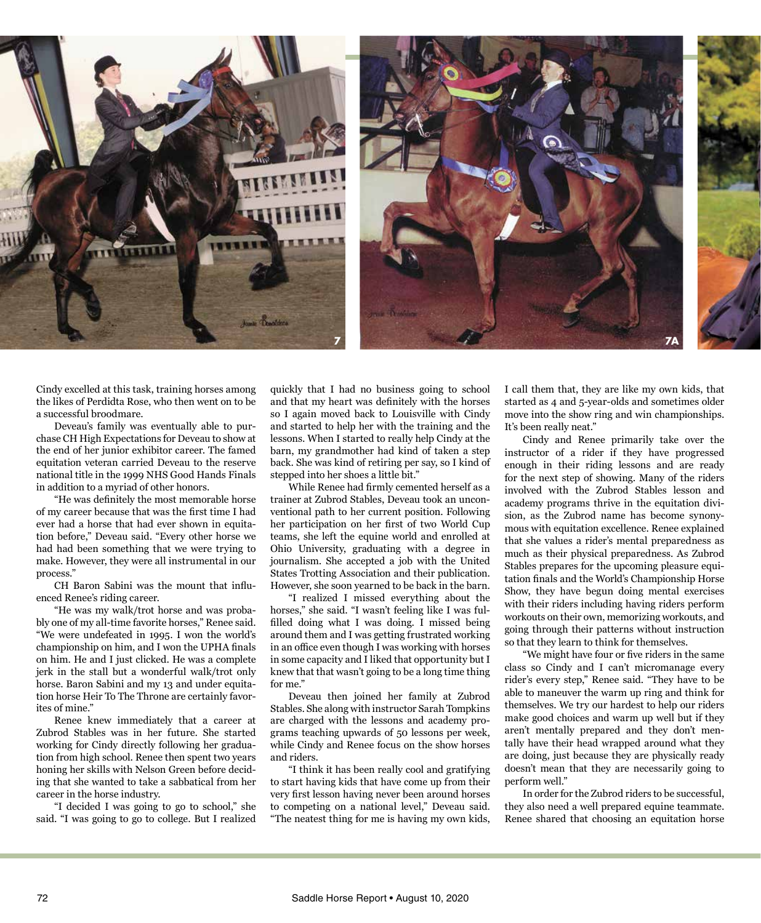

Cindy excelled at this task, training horses among the likes of Perdidta Rose, who then went on to be a successful broodmare.

Deveau's family was eventually able to purchase CH High Expectations for Deveau to show at the end of her junior exhibitor career. The famed equitation veteran carried Deveau to the reserve national title in the 1999 NHS Good Hands Finals in addition to a myriad of other honors.

"He was definitely the most memorable horse of my career because that was the first time I had ever had a horse that had ever shown in equitation before," Deveau said. "Every other horse we had had been something that we were trying to make. However, they were all instrumental in our process."

CH Baron Sabini was the mount that influenced Renee's riding career.

"He was my walk/trot horse and was probably one of my all-time favorite horses," Renee said. "We were undefeated in 1995. I won the world's championship on him, and I won the UPHA finals on him. He and I just clicked. He was a complete jerk in the stall but a wonderful walk/trot only horse. Baron Sabini and my 13 and under equitation horse Heir To The Throne are certainly favorites of mine."

Renee knew immediately that a career at Zubrod Stables was in her future. She started working for Cindy directly following her graduation from high school. Renee then spent two years honing her skills with Nelson Green before deciding that she wanted to take a sabbatical from her career in the horse industry.

"I decided I was going to go to school," she said. "I was going to go to college. But I realized quickly that I had no business going to school and that my heart was definitely with the horses so I again moved back to Louisville with Cindy and started to help her with the training and the lessons. When I started to really help Cindy at the barn, my grandmother had kind of taken a step back. She was kind of retiring per say, so I kind of stepped into her shoes a little bit."

While Renee had firmly cemented herself as a trainer at Zubrod Stables, Deveau took an unconventional path to her current position. Following her participation on her first of two World Cup teams, she left the equine world and enrolled at Ohio University, graduating with a degree in journalism. She accepted a job with the United States Trotting Association and their publication. However, she soon yearned to be back in the barn.

"I realized I missed everything about the horses," she said. "I wasn't feeling like I was fulfilled doing what I was doing. I missed being around them and I was getting frustrated working in an office even though I was working with horses in some capacity and I liked that opportunity but I knew that that wasn't going to be a long time thing for me."

Deveau then joined her family at Zubrod Stables. She along with instructor Sarah Tompkins are charged with the lessons and academy programs teaching upwards of 50 lessons per week, while Cindy and Renee focus on the show horses and riders.

"I think it has been really cool and gratifying to start having kids that have come up from their very first lesson having never been around horses to competing on a national level," Deveau said. "The neatest thing for me is having my own kids,

I call them that, they are like my own kids, that started as 4 and 5-year-olds and sometimes older move into the show ring and win championships. It's been really neat."

Cindy and Renee primarily take over the instructor of a rider if they have progressed enough in their riding lessons and are ready for the next step of showing. Many of the riders involved with the Zubrod Stables lesson and academy programs thrive in the equitation division, as the Zubrod name has become synonymous with equitation excellence. Renee explained that she values a rider's mental preparedness as much as their physical preparedness. As Zubrod Stables prepares for the upcoming pleasure equitation finals and the World's Championship Horse Show, they have begun doing mental exercises with their riders including having riders perform workouts on their own, memorizing workouts, and going through their patterns without instruction so that they learn to think for themselves.

"We might have four or five riders in the same class so Cindy and I can't micromanage every rider's every step," Renee said. "They have to be able to maneuver the warm up ring and think for themselves. We try our hardest to help our riders make good choices and warm up well but if they aren't mentally prepared and they don't mentally have their head wrapped around what they are doing, just because they are physically ready doesn't mean that they are necessarily going to perform well."

In order for the Zubrod riders to be successful, they also need a well prepared equine teammate. Renee shared that choosing an equitation horse